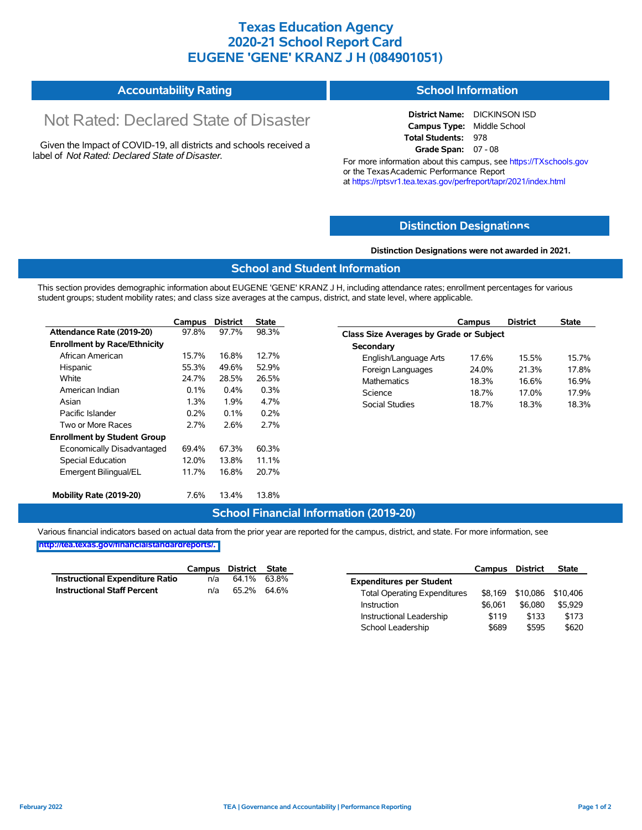## **Texas Education Agency 2020-21 School Report Card EUGENE 'GENE' KRANZ J H (084901051)**

#### **Accountability Rating School Information**

# Not Rated: Declared State of Disaster

Given the Impact of COVID-19, all districts and schools received a label of *Not Rated: Declared State of Disaster.*

**District Name:** DICKINSON ISD **Campus Type:** Middle School **Total Students:** 978 **Grade Span:** 07 - 08

For more information about this campus, see https://TXschools.gov or the TexasAcademic Performance Report at https://rptsvr1.tea.texas.gov/perfreport/tapr/2021/index.html

#### **Distinction Designat[ions](https://TXschools.gov)**

**Distinction Designations were not awarded in 2021.**

#### **School and Student Information**

This section provides demographic information about EUGENE 'GENE' KRANZ J H, including attendance rates; enrollment percentages for various student groups; student mobility rates; and class size averages at the campus, district, and state level, where applicable.

|                                     | Campus  | <b>District</b> | <b>State</b> |
|-------------------------------------|---------|-----------------|--------------|
| Attendance Rate (2019-20)           | 97.8%   | 97.7%           | 98.3%        |
| <b>Enrollment by Race/Ethnicity</b> |         |                 |              |
| African American                    | 15.7%   | 16.8%           | 12.7%        |
| Hispanic                            | 55.3%   | 49.6%           | 52.9%        |
| White                               | 24.7%   | 28.5%           | 26.5%        |
| American Indian                     | 0.1%    | $0.4\%$         | 0.3%         |
| Asian                               | 1.3%    | 1.9%            | 4.7%         |
| Pacific Islander                    | $0.2\%$ | $0.1\%$         | 0.2%         |
| Two or More Races                   | 2.7%    | 2.6%            | 2.7%         |
| <b>Enrollment by Student Group</b>  |         |                 |              |
| Economically Disadvantaged          | 694%    | 67.3%           | 60.3%        |
| <b>Special Education</b>            | 12.0%   | 13.8%           | 11.1%        |
| Emergent Bilingual/EL               | 11.7%   | 16.8%           | 20.7%        |
| Mobility Rate (2019-20)             | 7.6%    | 13.4%           | 13.8%        |

|                                                | Campus | <b>District</b> | <b>State</b> |  |  |  |  |  |
|------------------------------------------------|--------|-----------------|--------------|--|--|--|--|--|
| <b>Class Size Averages by Grade or Subject</b> |        |                 |              |  |  |  |  |  |
| Secondary                                      |        |                 |              |  |  |  |  |  |
| English/Language Arts                          | 17.6%  | 15.5%           | 157%         |  |  |  |  |  |
| Foreign Languages                              | 24.0%  | 21.3%           | 17.8%        |  |  |  |  |  |
| <b>Mathematics</b>                             | 18.3%  | 16.6%           | 16.9%        |  |  |  |  |  |
| Science                                        | 18.7%  | 17 0%           | 17 9%        |  |  |  |  |  |
| Social Studies                                 | 18.7%  | 18.3%           | 18.3%        |  |  |  |  |  |

#### **School Financial Information (2019-20)**

Various financial indicators based on actual data from the prior year are reported for the campus, district, and state. For more information, see **[http://tea.texas.gov/financialstandardreports/.](http://tea.texas.gov/financialstandardreports/)**

|                                        | Campus District State |             |  |
|----------------------------------------|-----------------------|-------------|--|
| <b>Instructional Expenditure Ratio</b> | n/a                   | 64.1% 63.8% |  |
| <b>Instructional Staff Percent</b>     | n/a                   | 65.2% 64.6% |  |

|                                     | Campus  | District | <b>State</b> |
|-------------------------------------|---------|----------|--------------|
| <b>Expenditures per Student</b>     |         |          |              |
| <b>Total Operating Expenditures</b> | \$8.169 | \$10,086 | \$10,406     |
| Instruction                         | \$6.061 | \$6.080  | \$5.929      |
| Instructional Leadership            | \$119   | \$133    | \$173        |
| School Leadership                   | \$689   | \$595    | \$620        |